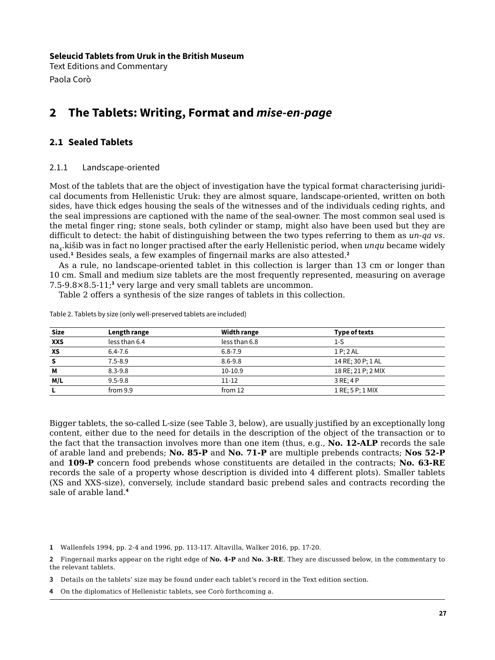**Seleucid Tablets from Uruk in the British Museum**

Text Editions and Commentary Paola Corò

# **2 The Tablets: Writing, Format and** *mise-en-page*

# **2.1 Sealed Tablets**

## 2.1.1 Landscape-oriented

Most of the tablets that are the object of investigation have the typical format characterising juridical documents from Hellenistic Uruk: they are almost square, landscape-oriented, written on both sides, have thick edges housing the seals of the witnesses and of the individuals ceding rights, and the seal impressions are captioned with the name of the seal-owner. The most common seal used is the metal finger ring; stone seals, both cylinder or stamp, might also have been used but they are difficult to detect: the habit of distinguishing between the two types referring to them as *un-qa vs*. na4.kišib was in fact no longer practised after the early Hellenistic period, when *unqu* became widely used.**<sup>1</sup>** Besides seals, a few examples of fingernail marks are also attested.**<sup>2</sup>**

As a rule, no landscape-oriented tablet in this collection is larger than 13 cm or longer than 10 cm. Small and medium size tablets are the most frequently represented, measuring on average 7.5-9.8×8.5-11;**<sup>3</sup>** very large and very small tablets are uncommon.

Table 2 offers a synthesis of the size ranges of tablets in this collection.

| <b>Size</b> | Length range        | Width range   | Type of texts      |  |
|-------------|---------------------|---------------|--------------------|--|
| <b>XXS</b>  | less than 6.4       | less than 6.8 | 1-S                |  |
| XS          | $6.4 - 7.6$         | $6.8 - 7.9$   | 1 P; 2 A L         |  |
| -S          | $7.5 - 8.9$         | $8.6 - 9.8$   | 14 RE; 30 P; 1 AL  |  |
| М           | $8.3 - 9.8$         | $10-10.9$     | 18 RE; 21 P; 2 MIX |  |
| M/L         | $9.5 - 9.8$         | $11 - 12$     | 3 RE: 4 P          |  |
|             | from 12<br>from 9.9 |               | 1 RE; 5 P; 1 MIX   |  |

Table 2. Tablets by size (only well-preserved tablets are included)

Bigger tablets, the so-called L-size (see Table 3, below), are usually justified by an exceptionally long content, either due to the need for details in the description of the object of the transaction or to the fact that the transaction involves more than one item (thus, e.g., **No. 12-ALP** records the sale of arable land and prebends; **No. 85-P** and **No. 71-P** are multiple prebends contracts; **Nos 52-P**  and **109-P** concern food prebends whose constituents are detailed in the contracts; **No. 63-RE** records the sale of a property whose description is divided into 4 different plots). Smaller tablets (XS and XXS-size), conversely, include standard basic prebend sales and contracts recording the sale of arable land.**<sup>4</sup>**

**1** Wallenfels 1994, pp. 2-4 and 1996, pp. 113-117. Altavilla, Walker 2016, pp. 17-20.

- **3** Details on the tablets' size may be found under each tablet's record in the Text edition section.
- **4** On the diplomatics of Hellenistic tablets, see Corò forthcoming a.

**<sup>2</sup>** Fingernail marks appear on the right edge of **No. 4-P** and **No. 3-RE**. They are discussed below, in the commentary to the relevant tablets.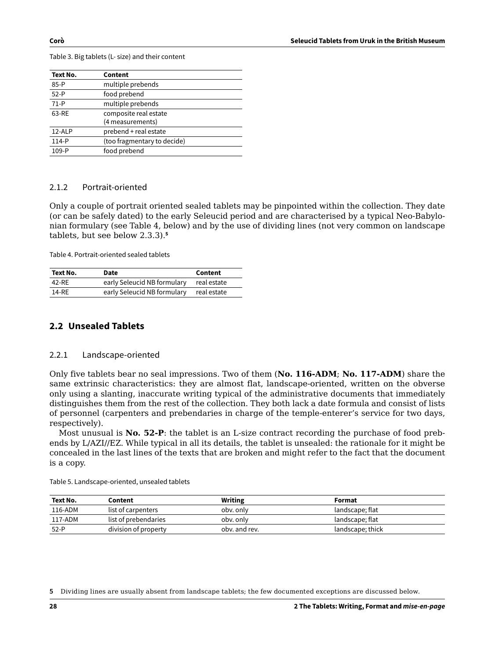**Text No. Content** 85-P multiple prebends 52-P food prebend 71-P multiple prebends 63-RE composite real estate (4 measurements) 12-ALP prebend + real estate 114-P (too fragmentary to decide) 109-P food prebend

Table 3. Big tablets (L- size) and their content

## 2.1.2 Portrait-oriented

Only a couple of portrait oriented sealed tablets may be pinpointed within the collection. They date (or can be safely dated) to the early Seleucid period and are characterised by a typical Neo-Babylonian formulary (see Table 4, below) and by the use of dividing lines (not very common on landscape tablets, but see below 2.3.3).**<sup>5</sup>**

Table 4. Portrait-oriented sealed tablets

| Text No. | Date                        | Content     |
|----------|-----------------------------|-------------|
| 42-RE    | early Seleucid NB formulary | real estate |
| 14-RF    | early Seleucid NB formulary | real estate |

## **2.2 Unsealed Tablets**

#### 2.2.1 Landscape-oriented

Only five tablets bear no seal impressions. Two of them (**No. 116-ADM**; **No. 117-ADM**) share the same extrinsic characteristics: they are almost flat, landscape-oriented, written on the obverse only using a slanting, inaccurate writing typical of the administrative documents that immediately distinguishes them from the rest of the collection. They both lack a date formula and consist of lists of personnel (carpenters and prebendaries in charge of the temple-enterer's service for two days, respectively).

Most unusual is **No. 52-P**: the tablet is an L-size contract recording the purchase of food prebends by L/AZI//EZ. While typical in all its details, the tablet is unsealed: the rationale for it might be concealed in the last lines of the texts that are broken and might refer to the fact that the document is a copy.

| Text No. | Content              | <b>Writing</b> | Format           |
|----------|----------------------|----------------|------------------|
| 116-ADM  | list of carpenters   | oby. only      | landscape; flat  |
| 117-ADM  | list of prebendaries | oby. only      | landscape; flat  |
| 52-P     | division of property | oby, and rev.  | landscape; thick |

Table 5. Landscape-oriented, unsealed tablets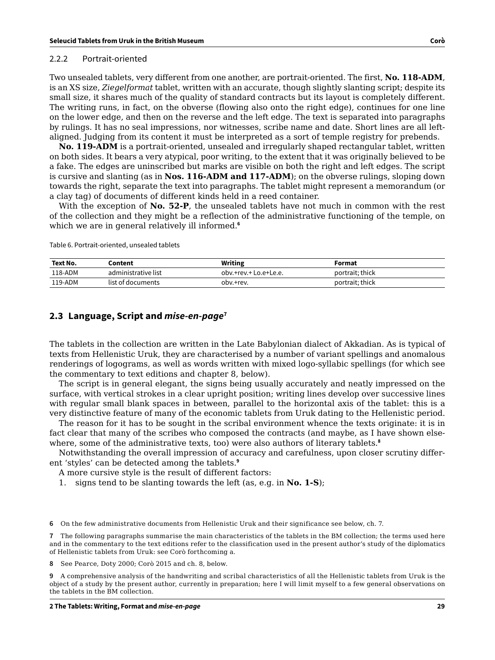#### 2.2.2 Portrait-oriented

Two unsealed tablets, very different from one another, are portrait-oriented. The first, **No. 118-ADM**, is an XS size, *Ziegelformat* tablet, written with an accurate, though slightly slanting script; despite its small size, it shares much of the quality of standard contracts but its layout is completely different. The writing runs, in fact, on the obverse (flowing also onto the right edge), continues for one line on the lower edge, and then on the reverse and the left edge. The text is separated into paragraphs by rulings. It has no seal impressions, nor witnesses, scribe name and date. Short lines are all leftaligned. Judging from its content it must be interpreted as a sort of temple registry for prebends.

**No. 119-ADM** is a portrait-oriented, unsealed and irregularly shaped rectangular tablet, written on both sides. It bears a very atypical, poor writing, to the extent that it was originally believed to be a fake. The edges are uninscribed but marks are visible on both the right and left edges. The script is cursive and slanting (as in **Nos. 116-ADM and 117-ADM**); on the obverse rulings, sloping down towards the right, separate the text into paragraphs. The tablet might represent a memorandum (or a clay tag) of documents of different kinds held in a reed container.

With the exception of **No. 52-P**, the unsealed tablets have not much in common with the rest of the collection and they might be a reflection of the administrative functioning of the temple, on which we are in general relatively ill informed.<sup>6</sup>

Table 6. Portrait-oriented, unsealed tablets

| Text No. | Content             | <b>Writing</b>        | Format          |
|----------|---------------------|-----------------------|-----------------|
| 118-ADM  | administrative list | oby.+rey.+ Lo.e+Le.e. | portrait; thick |
| 119-ADM  | list of documents   | oby.+rey.             | portrait: thick |

#### **2.3 Language, Script and** *mise-en-page***<sup>7</sup>**

The tablets in the collection are written in the Late Babylonian dialect of Akkadian. As is typical of texts from Hellenistic Uruk, they are characterised by a number of variant spellings and anomalous renderings of logograms, as well as words written with mixed logo-syllabic spellings (for which see the commentary to text editions and chapter 8, below).

The script is in general elegant, the signs being usually accurately and neatly impressed on the surface, with vertical strokes in a clear upright position; writing lines develop over successive lines with regular small blank spaces in between, parallel to the horizontal axis of the tablet: this is a very distinctive feature of many of the economic tablets from Uruk dating to the Hellenistic period.

The reason for it has to be sought in the scribal environment whence the texts originate: it is in fact clear that many of the scribes who composed the contracts (and maybe, as I have shown elsewhere, some of the administrative texts, too) were also authors of literary tablets.**<sup>8</sup>**

Notwithstanding the overall impression of accuracy and carefulness, upon closer scrutiny different 'styles' can be detected among the tablets.**<sup>9</sup>**

A more cursive style is the result of different factors:

1. signs tend to be slanting towards the left (as, e.g. in **No. 1-S**);

**6** On the few administrative documents from Hellenistic Uruk and their significance see below, ch. 7.

**7** The following paragraphs summarise the main characteristics of the tablets in the BM collection; the terms used here and in the commentary to the text editions refer to the classification used in the present author's study of the diplomatics of Hellenistic tablets from Uruk: see Corò forthcoming a.

**8** See Pearce, Doty 2000; Corò 2015 and ch. 8, below.

**9** A comprehensive analysis of the handwriting and scribal characteristics of all the Hellenistic tablets from Uruk is the object of a study by the present author, currently in preparation; here I will limit myself to a few general observations on the tablets in the BM collection.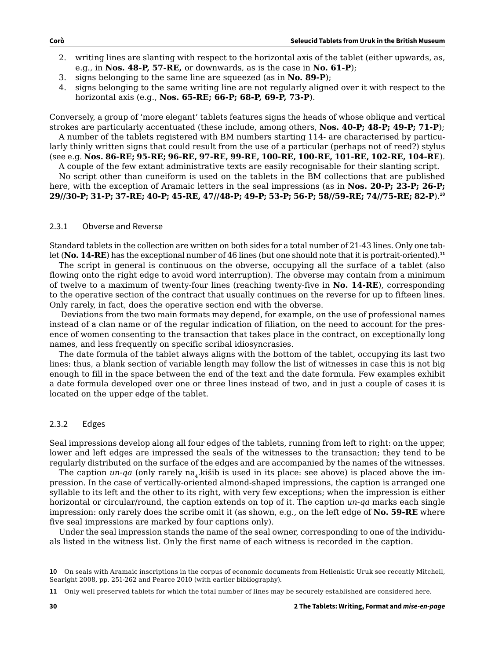- 2. writing lines are slanting with respect to the horizontal axis of the tablet (either upwards, as, e.g., in **Nos. 48-P, 57-RE,** or downwards, as is the case in **No. 61-P**);
- 3. signs belonging to the same line are squeezed (as in **No. 89-P**);
- 4. signs belonging to the same writing line are not regularly aligned over it with respect to the horizontal axis (e.g., **Nos. 65-RE; 66-P; 68-P, 69-P, 73-P**).

Conversely, a group of 'more elegant' tablets features signs the heads of whose oblique and vertical strokes are particularly accentuated (these include, among others, **Nos. 40-P; 48-P; 49-P; 71-P**);

A number of the tablets registered with BM numbers starting 114- are characterised by particularly thinly written signs that could result from the use of a particular (perhaps not of reed?) stylus (see e.g. **Nos. 86-RE; 95-RE; 96-RE, 97-RE, 99-RE, 100-RE, 100-RE, 101-RE, 102-RE, 104-RE**).

A couple of the few extant administrative texts are easily recognisable for their slanting script.

No script other than cuneiform is used on the tablets in the BM collections that are published here, with the exception of Aramaic letters in the seal impressions (as in **Nos. 20-P; 23-P; 26-P; 29//30-P; 31-P; 37-RE; 40-P; 45-RE, 47//48-P; 49-P; 53-P; 56-P; 58//59-RE; 74//75-RE; 82-P**).**<sup>10</sup>**

#### 2.3.1 Obverse and Reverse

Standard tablets in the collection are written on both sides for a total number of 21-43 lines. Only one tablet (**No. 14-RE**) has the exceptional number of 46 lines (but one should note that it is portrait-oriented).**<sup>11</sup>**

The script in general is continuous on the obverse, occupying all the surface of a tablet (also flowing onto the right edge to avoid word interruption). The obverse may contain from a minimum of twelve to a maximum of twenty-four lines (reaching twenty-five in **No. 14-RE**), corresponding to the operative section of the contract that usually continues on the reverse for up to fifteen lines. Only rarely, in fact, does the operative section end with the obverse.

 Deviations from the two main formats may depend, for example, on the use of professional names instead of a clan name or of the regular indication of filiation, on the need to account for the presence of women consenting to the transaction that takes place in the contract, on exceptionally long names, and less frequently on specific scribal idiosyncrasies.

The date formula of the tablet always aligns with the bottom of the tablet, occupying its last two lines: thus, a blank section of variable length may follow the list of witnesses in case this is not big enough to fill in the space between the end of the text and the date formula. Few examples exhibit a date formula developed over one or three lines instead of two, and in just a couple of cases it is located on the upper edge of the tablet.

#### 2.3.2 Edges

Seal impressions develop along all four edges of the tablets, running from left to right: on the upper, lower and left edges are impressed the seals of the witnesses to the transaction; they tend to be regularly distributed on the surface of the edges and are accompanied by the names of the witnesses.

The caption  $un-qa$  (only rarely na<sub>4</sub>.kišib is used in its place: see above) is placed above the impression. In the case of vertically-oriented almond-shaped impressions, the caption is arranged one syllable to its left and the other to its right, with very few exceptions; when the impression is either horizontal or circular/round, the caption extends on top of it. The caption *un-qa* marks each single impression: only rarely does the scribe omit it (as shown, e.g., on the left edge of **No. 59-RE** where five seal impressions are marked by four captions only).

Under the seal impression stands the name of the seal owner, corresponding to one of the individuals listed in the witness list. Only the first name of each witness is recorded in the caption.

**<sup>10</sup>** On seals with Aramaic inscriptions in the corpus of economic documents from Hellenistic Uruk see recently Mitchell, Searight 2008, pp. 251-262 and Pearce 2010 (with earlier bibliography).

**<sup>11</sup>** Only well preserved tablets for which the total number of lines may be securely established are considered here.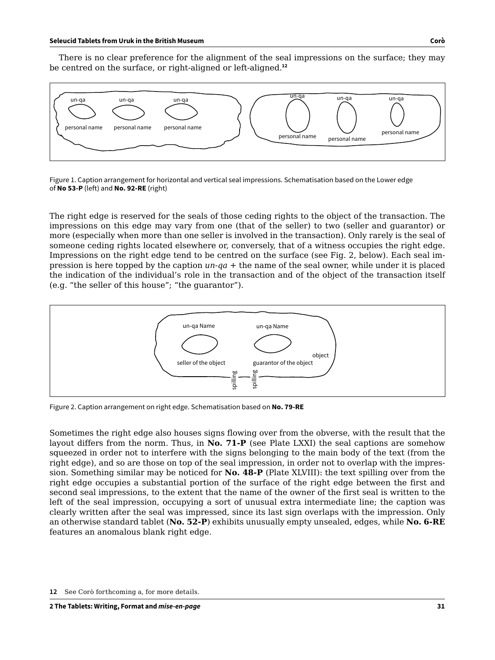There is no clear preference for the alignment of the seal impressions on the surface; they may be centred on the surface, or right-aligned or left-aligned.**<sup>12</sup>**



Figure 1. Caption arrangement for horizontal and vertical seal impressions. Schematisation based on the Lower edge of **No 53-P** (left) and **No. 92-RE** (right)

The right edge is reserved for the seals of those ceding rights to the object of the transaction. The impressions on this edge may vary from one (that of the seller) to two (seller and guarantor) or more (especially when more than one seller is involved in the transaction). Only rarely is the seal of someone ceding rights located elsewhere or, conversely, that of a witness occupies the right edge. Impressions on the right edge tend to be centred on the surface (see Fig. 2, below). Each seal impression is here topped by the caption *un-qa* + the name of the seal owner, while under it is placed the indication of the individual's role in the transaction and of the object of the transaction itself (e.g. "the seller of this house"; "the guarantor").



Figure 2. Caption arrangement on right edge. Schematisation based on **No. 79-RE**

Sometimes the right edge also houses signs flowing over from the obverse, with the result that the layout differs from the norm. Thus, in **No. 71-P** (see Plate LXXI) the seal captions are somehow squeezed in order not to interfere with the signs belonging to the main body of the text (from the right edge), and so are those on top of the seal impression, in order not to overlap with the impression. Something similar may be noticed for **No. 48-P** (Plate XLVIII): the text spilling over from the right edge occupies a substantial portion of the surface of the right edge between the first and second seal impressions, to the extent that the name of the owner of the first seal is written to the left of the seal impression, occupying a sort of unusual extra intermediate line; the caption was clearly written after the seal was impressed, since its last sign overlaps with the impression. Only an otherwise standard tablet (**No. 52-P**) exhibits unusually empty unsealed, edges, while **No. 6-RE** features an anomalous blank right edge.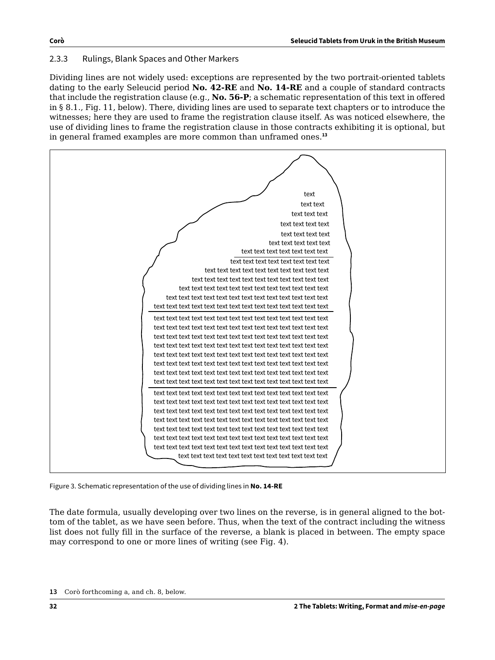## 2.3.3 Rulings, Blank Spaces and Other Markers

Dividing lines are not widely used: exceptions are represented by the two portrait-oriented tablets dating to the early Seleucid period **No. 42-RE** and **No. 14-RE** and a couple of standard contracts that include the registration clause (e.g., **No. 56-P**; a schematic representation of this text in offered in § 8.1., Fig. 11, below). There, dividing lines are used to separate text chapters or to introduce the witnesses; here they are used to frame the registration clause itself. As was noticed elsewhere, the use of dividing lines to frame the registration clause in those contracts exhibiting it is optional, but in general framed examples are more common than unframed ones.**<sup>13</sup>**



Figure 3. Schematic representation of the use of dividing lines in **No. 14-RE**

The date formula, usually developing over two lines on the reverse, is in general aligned to the bottom of the tablet, as we have seen before. Thus, when the text of the contract including the witness list does not fully fill in the surface of the reverse, a blank is placed in between. The empty space may correspond to one or more lines of writing (see Fig. 4).

**<sup>13</sup>** Corò forthcoming a, and ch. 8, below.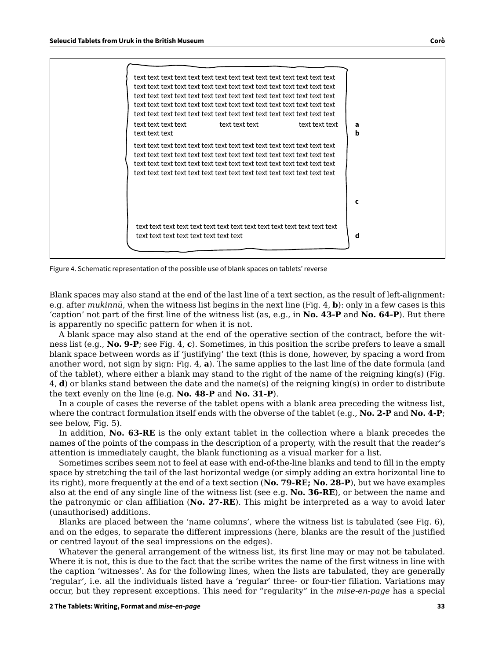| text text text text<br>text text text | text text text | text text text<br>a<br>b |
|---------------------------------------|----------------|--------------------------|
|                                       |                |                          |
|                                       |                | c                        |
|                                       |                | d                        |

Figure 4. Schematic representation of the possible use of blank spaces on tablets' reverse

Blank spaces may also stand at the end of the last line of a text section, as the result of left-alignment: e.g. after *mukinnū*, when the witness list begins in the next line (Fig. 4, **b**): only in a few cases is this 'caption' not part of the first line of the witness list (as, e.g., in **No. 43-P** and **No. 64-P**). But there is apparently no specific pattern for when it is not.

A blank space may also stand at the end of the operative section of the contract, before the witness list (e.g., **No. 9-P**; see Fig. 4, **c**). Sometimes, in this position the scribe prefers to leave a small blank space between words as if 'justifying' the text (this is done, however, by spacing a word from another word, not sign by sign: Fig. 4, **a**). The same applies to the last line of the date formula (and of the tablet), where either a blank may stand to the right of the name of the reigning king(s) (Fig. 4, **d**) or blanks stand between the date and the name(s) of the reigning king(s) in order to distribute the text evenly on the line (e.g. **No. 48-P** and **No. 31-P**).

In a couple of cases the reverse of the tablet opens with a blank area preceding the witness list, where the contract formulation itself ends with the obverse of the tablet (e.g., **No. 2-P** and **No. 4-P**; see below, Fig. 5).

In addition, **No. 63-RE** is the only extant tablet in the collection where a blank precedes the names of the points of the compass in the description of a property, with the result that the reader's attention is immediately caught, the blank functioning as a visual marker for a list.

Sometimes scribes seem not to feel at ease with end-of-the-line blanks and tend to fill in the empty space by stretching the tail of the last horizontal wedge (or simply adding an extra horizontal line to its right), more frequently at the end of a text section (**No. 79-RE; No. 28-P**), but we have examples also at the end of any single line of the witness list (see e.g. **No. 36-RE**), or between the name and the patronymic or clan affiliation (**No. 27-RE**). This might be interpreted as a way to avoid later (unauthorised) additions.

Blanks are placed between the 'name columns', where the witness list is tabulated (see Fig. 6), and on the edges, to separate the different impressions (here, blanks are the result of the justified or centred layout of the seal impressions on the edges).

Whatever the general arrangement of the witness list, its first line may or may not be tabulated. Where it is not, this is due to the fact that the scribe writes the name of the first witness in line with the caption 'witnesses'. As for the following lines, when the lists are tabulated, they are generally 'regular', i.e. all the individuals listed have a 'regular' three- or four-tier filiation. Variations may occur, but they represent exceptions. This need for "regularity" in the *mise-en-page* has a special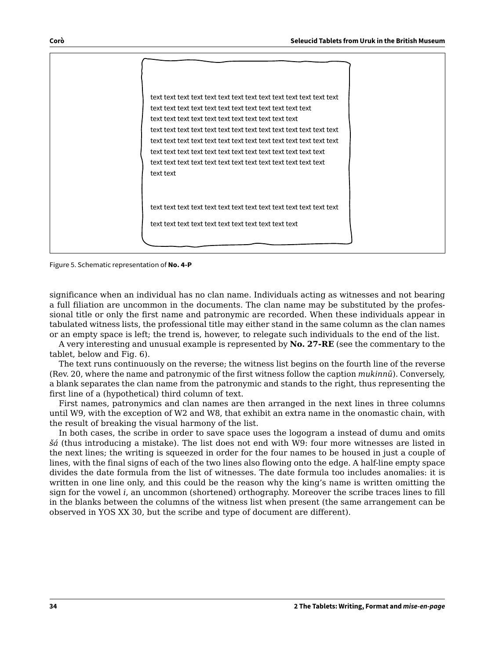| text text |
|-----------|
|           |
|           |

Figure 5. Schematic representation of **No. 4-P**

significance when an individual has no clan name. Individuals acting as witnesses and not bearing a full filiation are uncommon in the documents. The clan name may be substituted by the professional title or only the first name and patronymic are recorded. When these individuals appear in tabulated witness lists, the professional title may either stand in the same column as the clan names or an empty space is left; the trend is, however, to relegate such individuals to the end of the list.

A very interesting and unusual example is represented by **No. 27-RE** (see the commentary to the tablet, below and Fig. 6).

The text runs continuously on the reverse; the witness list begins on the fourth line of the reverse (Rev. 20, where the name and patronymic of the first witness follow the caption *mukinnū*). Conversely, a blank separates the clan name from the patronymic and stands to the right, thus representing the first line of a (hypothetical) third column of text.

First names, patronymics and clan names are then arranged in the next lines in three columns until W9, with the exception of W2 and W8, that exhibit an extra name in the onomastic chain, with the result of breaking the visual harmony of the list.

In both cases, the scribe in order to save space uses the logogram a instead of dumu and omits *šá* (thus introducing a mistake). The list does not end with W9: four more witnesses are listed in the next lines; the writing is squeezed in order for the four names to be housed in just a couple of lines, with the final signs of each of the two lines also flowing onto the edge. A half-line empty space divides the date formula from the list of witnesses. The date formula too includes anomalies: it is written in one line only, and this could be the reason why the king's name is written omitting the sign for the vowel *i*, an uncommon (shortened) orthography. Moreover the scribe traces lines to fill in the blanks between the columns of the witness list when present (the same arrangement can be observed in YOS XX 30, but the scribe and type of document are different).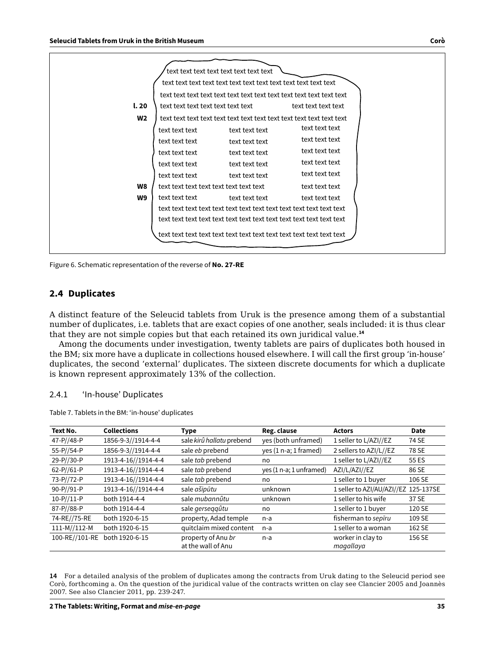| l.20           |                | text text text text text text text<br>text text text text |                |  |  |  |
|----------------|----------------|-----------------------------------------------------------|----------------|--|--|--|
| W <sub>2</sub> |                |                                                           |                |  |  |  |
|                | text text text | text text text                                            | text text text |  |  |  |
|                | text text text | text text text                                            | text text text |  |  |  |
|                | text text text | text text text                                            | text text text |  |  |  |
|                | text text text | text text text                                            | text text text |  |  |  |
|                | text text text | text text text                                            | text text text |  |  |  |
| W8             |                |                                                           | text text text |  |  |  |
| W9             | text text text | text text text                                            | text text text |  |  |  |
|                |                |                                                           |                |  |  |  |
|                |                |                                                           |                |  |  |  |
|                |                |                                                           |                |  |  |  |
|                |                |                                                           |                |  |  |  |

Figure 6. Schematic representation of the reverse of **No. 27-RE**

#### **2.4 Duplicates**

A distinct feature of the Seleucid tablets from Uruk is the presence among them of a substantial number of duplicates, i.e. tablets that are exact copies of one another, seals included: it is thus clear that they are not simple copies but that each retained its own juridical value.**<sup>14</sup>**

Among the documents under investigation, twenty tablets are pairs of duplicates both housed in the BM; six more have a duplicate in collections housed elsewhere. I will call the first group 'in-house' duplicates, the second 'external' duplicates. The sixteen discrete documents for which a duplicate is known represent approximately 13% of the collection.

#### 2.4.1 'In-house' Duplicates

|  |  |  |  | Table 7. Tablets in the BM: 'in-house' duplicates |
|--|--|--|--|---------------------------------------------------|
|--|--|--|--|---------------------------------------------------|

| Text No.       | <b>Collections</b>  | <b>Type</b>                              | Reg. clause             | <b>Actors</b>                        | <b>Date</b> |
|----------------|---------------------|------------------------------------------|-------------------------|--------------------------------------|-------------|
| 47-P//48-P     | 1856-9-3//1914-4-4  | sale kirû hallatu prebend                | yes (both unframed)     | 1 seller to L/AZI//EZ                | 74 SE       |
| 55-P//54-P     | 1856-9-3//1914-4-4  | sale eb prebend                          | yes (1 n-a; 1 framed)   | 2 sellers to AZI/L//EZ               | 78 SE       |
| 29-P//30-P     | 1913-4-16//1914-4-4 | sale tab prebend                         | no                      | 1 seller to L/AZI//EZ                | 55 ES       |
| $62-P/(61-P)$  | 1913-4-16//1914-4-4 | sale tab prebend                         | yes (1 n-a; 1 unframed) | AZI/L/AZI//EZ                        | 86 SE       |
| 73-P//72-P     | 1913-4-16//1914-4-4 | sale tab prebend                         | no                      | 1 seller to 1 buyer                  | 106 SE      |
| 90-P//91-P     | 1913-4-16//1914-4-4 | sale ašipūtu                             | unknown                 | 1 seller to AZI/AU/AZI//EZ 125-137SE |             |
| $10-P/11-P$    | both 1914-4-4       | sale mubannûtu                           | unknown                 | 1 seller to his wife                 | 37 SE       |
| 87-P//88-P     | both 1914-4-4       | sale gerseggûtu                          | no                      | 1 seller to 1 buyer                  | 120 SE      |
| 74-RE//75-RE   | both 1920-6-15      | property, Adad temple                    | n-a                     | fisherman to sepiru                  | 109 SE      |
| $111-M/112-M$  | both 1920-6-15      | quitclaim mixed content                  | $n-a$                   | 1 seller to a woman                  | 162 SE      |
| 100-RE//101-RE | both 1920-6-15      | property of Anu br<br>at the wall of Anu | n-a                     | worker in clay to<br>magallaya       | 156 SE      |

**14** For a detailed analysis of the problem of duplicates among the contracts from Uruk dating to the Seleucid period see Corò, forthcoming a. On the question of the juridical value of the contracts written on clay see Clancier 2005 and Joannès 2007. See also Clancier 2011, pp. 239-247.